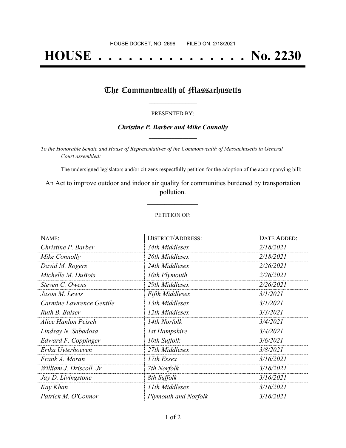# **HOUSE . . . . . . . . . . . . . . . No. 2230**

## The Commonwealth of Massachusetts

#### PRESENTED BY:

#### *Christine P. Barber and Mike Connolly* **\_\_\_\_\_\_\_\_\_\_\_\_\_\_\_\_\_**

*To the Honorable Senate and House of Representatives of the Commonwealth of Massachusetts in General Court assembled:*

The undersigned legislators and/or citizens respectfully petition for the adoption of the accompanying bill:

An Act to improve outdoor and indoor air quality for communities burdened by transportation pollution.

**\_\_\_\_\_\_\_\_\_\_\_\_\_\_\_**

#### PETITION OF:

| NAME:                    | <b>DISTRICT/ADDRESS:</b> | DATE ADDED: |
|--------------------------|--------------------------|-------------|
| Christine P. Barber      | 34th Middlesex           | 2/18/2021   |
| Mike Connolly            | 26th Middlesex           | 2/18/2021   |
| David M. Rogers          | 24th Middlesex           | 2/26/2021   |
| Michelle M. DuBois       | 10th Plymouth            | 2/26/2021   |
| Steven C. Owens          | 29th Middlesex           | 2/26/2021   |
| Jason M. Lewis           | <b>Fifth Middlesex</b>   | 3/1/2021    |
| Carmine Lawrence Gentile | 13th Middlesex           | 3/1/2021    |
| Ruth B. Balser           | 12th Middlesex           | 3/3/2021    |
| Alice Hanlon Peisch      | 14th Norfolk             | 3/4/2021    |
| Lindsay N. Sabadosa      | 1st Hampshire            | 3/4/2021    |
| Edward F. Coppinger      | 10th Suffolk             | 3/6/2021    |
| Erika Uyterhoeven        | 27th Middlesex           | 3/8/2021    |
| Frank A. Moran           | 17th Essex               | 3/16/2021   |
| William J. Driscoll, Jr. | 7th Norfolk              | 3/16/2021   |
| Jay D. Livingstone       | 8th Suffolk              | 3/16/2021   |
| Kay Khan                 | 11th Middlesex           | 3/16/2021   |
| Patrick M. O'Connor      | Plymouth and Norfolk     | 3/16/2021   |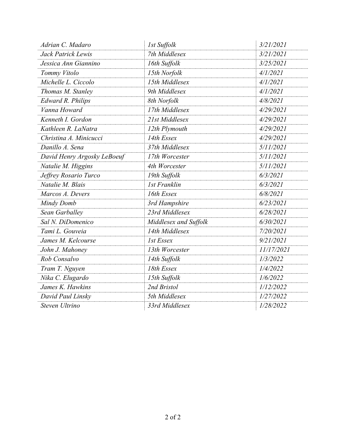| Adrian C. Madaro            | 1st Suffolk           | 3/21/2021  |
|-----------------------------|-----------------------|------------|
| Jack Patrick Lewis          | 7th Middlesex         | 3/21/2021  |
| Jessica Ann Giannino        | 16th Suffolk          | 3/25/2021  |
| Tommy Vitolo                | 15th Norfolk          | 4/1/2021   |
| Michelle L. Ciccolo         | 15th Middlesex        | 4/1/2021   |
| Thomas M. Stanley           | 9th Middlesex         | 4/1/2021   |
| <b>Edward R. Philips</b>    | 8th Norfolk           | 4/8/2021   |
| Vanna Howard                | 17th Middlesex        | 4/29/2021  |
| Kenneth I. Gordon           | 21st Middlesex        | 4/29/2021  |
| Kathleen R. LaNatra         | 12th Plymouth         | 4/29/2021  |
| Christina A. Minicucci      | 14th Essex            | 4/29/2021  |
| Danillo A. Sena             | 37th Middlesex        | 5/11/2021  |
| David Henry Argosky LeBoeuf | 17th Worcester        | 5/11/2021  |
| Natalie M. Higgins          | 4th Worcester         | 5/11/2021  |
| Jeffrey Rosario Turco       | 19th Suffolk          | 6/3/2021   |
| Natalie M. Blais            | <b>1st Franklin</b>   | 6/3/2021   |
| Marcos A. Devers            | 16th Essex            | 6/8/2021   |
| Mindy Domb                  | 3rd Hampshire         | 6/23/2021  |
| Sean Garballey              | 23rd Middlesex        | 6/28/2021  |
| Sal N. DiDomenico           | Middlesex and Suffolk | 6/30/2021  |
| Tami L. Gouveia             | 14th Middlesex        | 7/20/2021  |
| James M. Kelcourse          | 1st Essex             | 9/21/2021  |
| John J. Mahoney             | 13th Worcester        | 11/17/2021 |
| Rob Consalvo                | 14th Suffolk          | 1/3/2022   |
| Tram T. Nguyen              | 18th Essex            | 1/4/2022   |
| Nika C. Elugardo            | 15th Suffolk          | 1/6/2022   |
| James K. Hawkins            | 2nd Bristol           | 1/12/2022  |
| David Paul Linsky           | 5th Middlesex         | 1/27/2022  |
| Steven Ultrino              | 33rd Middlesex        | 1/28/2022  |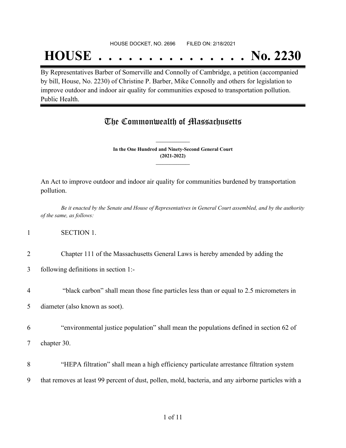#### HOUSE DOCKET, NO. 2696 FILED ON: 2/18/2021

## **HOUSE . . . . . . . . . . . . . . . No. 2230**

By Representatives Barber of Somerville and Connolly of Cambridge, a petition (accompanied by bill, House, No. 2230) of Christine P. Barber, Mike Connolly and others for legislation to improve outdoor and indoor air quality for communities exposed to transportation pollution. Public Health.

## The Commonwealth of Massachusetts

**In the One Hundred and Ninety-Second General Court (2021-2022) \_\_\_\_\_\_\_\_\_\_\_\_\_\_\_**

**\_\_\_\_\_\_\_\_\_\_\_\_\_\_\_**

An Act to improve outdoor and indoor air quality for communities burdened by transportation pollution.

Be it enacted by the Senate and House of Representatives in General Court assembled, and by the authority *of the same, as follows:*

#### 1 SECTION 1.

- 2 Chapter 111 of the Massachusetts General Laws is hereby amended by adding the
- 3 following definitions in section 1:-
- 4 "black carbon" shall mean those fine particles less than or equal to 2.5 micrometers in

5 diameter (also known as soot).

- 6 "environmental justice population" shall mean the populations defined in section 62 of
- 7 chapter 30.
- 8 "HEPA filtration" shall mean a high efficiency particulate arrestance filtration system 9 that removes at least 99 percent of dust, pollen, mold, bacteria, and any airborne particles with a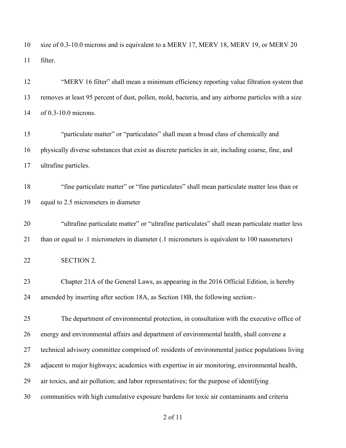size of 0.3-10.0 microns and is equivalent to a MERV 17, MERV 18, MERV 19, or MERV 20 filter.

 "MERV 16 filter" shall mean a minimum efficiency reporting value filtration system that removes at least 95 percent of dust, pollen, mold, bacteria, and any airborne particles with a size of 0.3-10.0 microns.

 "particulate matter" or "particulates" shall mean a broad class of chemically and physically diverse substances that exist as discrete particles in air, including coarse, fine, and ultrafine particles.

 "fine particulate matter" or "fine particulates" shall mean particulate matter less than or equal to 2.5 micrometers in diameter

 "ultrafine particulate matter" or "ultrafine particulates" shall mean particulate matter less than or equal to .1 micrometers in diameter (.1 micrometers is equivalent to 100 nanometers)

SECTION 2.

 Chapter 21A of the General Laws, as appearing in the 2016 Official Edition, is hereby amended by inserting after section 18A, as Section 18B, the following section:-

 The department of environmental protection, in consultation with the executive office of energy and environmental affairs and department of environmental health, shall convene a technical advisory committee comprised of: residents of environmental justice populations living adjacent to major highways; academics with expertise in air monitoring, environmental health, air toxics, and air pollution; and labor representatives; for the purpose of identifying communities with high cumulative exposure burdens for toxic air contaminants and criteria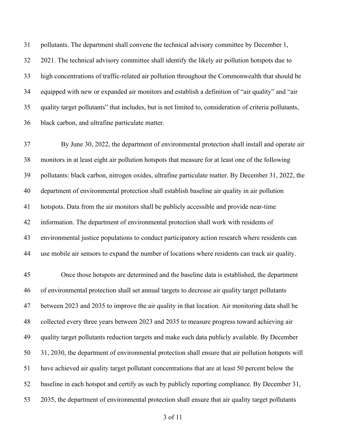pollutants. The department shall convene the technical advisory committee by December 1, 2021. The technical advisory committee shall identify the likely air pollution hotspots due to high concentrations of traffic-related air pollution throughout the Commonwealth that should be equipped with new or expanded air monitors and establish a definition of "air quality" and "air quality target pollutants" that includes, but is not limited to, consideration of criteria pollutants, black carbon, and ultrafine particulate matter.

 By June 30, 2022, the department of environmental protection shall install and operate air monitors in at least eight air pollution hotspots that measure for at least one of the following pollutants: black carbon, nitrogen oxides, ultrafine particulate matter. By December 31, 2022, the department of environmental protection shall establish baseline air quality in air pollution hotspots. Data from the air monitors shall be publicly accessible and provide near-time information. The department of environmental protection shall work with residents of environmental justice populations to conduct participatory action research where residents can use mobile air sensors to expand the number of locations where residents can track air quality.

 Once those hotspots are determined and the baseline data is established, the department of environmental protection shall set annual targets to decrease air quality target pollutants between 2023 and 2035 to improve the air quality in that location. Air monitoring data shall be collected every three years between 2023 and 2035 to measure progress toward achieving air quality target pollutants reduction targets and make such data publicly available. By December 31, 2030, the department of environmental protection shall ensure that air pollution hotspots will have achieved air quality target pollutant concentrations that are at least 50 percent below the baseline in each hotspot and certify as such by publicly reporting compliance. By December 31, 2035, the department of environmental protection shall ensure that air quality target pollutants

of 11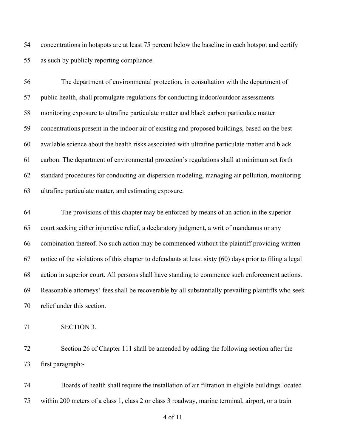concentrations in hotspots are at least 75 percent below the baseline in each hotspot and certify as such by publicly reporting compliance.

 The department of environmental protection, in consultation with the department of public health, shall promulgate regulations for conducting indoor/outdoor assessments monitoring exposure to ultrafine particulate matter and black carbon particulate matter concentrations present in the indoor air of existing and proposed buildings, based on the best available science about the health risks associated with ultrafine particulate matter and black carbon. The department of environmental protection's regulations shall at minimum set forth standard procedures for conducting air dispersion modeling, managing air pollution, monitoring ultrafine particulate matter, and estimating exposure.

 The provisions of this chapter may be enforced by means of an action in the superior court seeking either injunctive relief, a declaratory judgment, a writ of mandamus or any combination thereof. No such action may be commenced without the plaintiff providing written notice of the violations of this chapter to defendants at least sixty (60) days prior to filing a legal action in superior court. All persons shall have standing to commence such enforcement actions. Reasonable attorneys' fees shall be recoverable by all substantially prevailing plaintiffs who seek relief under this section.

SECTION 3.

 Section 26 of Chapter 111 shall be amended by adding the following section after the first paragraph:-

 Boards of health shall require the installation of air filtration in eligible buildings located within 200 meters of a class 1, class 2 or class 3 roadway, marine terminal, airport, or a train

of 11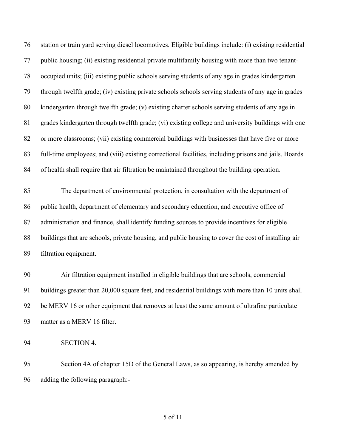station or train yard serving diesel locomotives. Eligible buildings include: (i) existing residential public housing; (ii) existing residential private multifamily housing with more than two tenant- occupied units; (iii) existing public schools serving students of any age in grades kindergarten through twelfth grade; (iv) existing private schools schools serving students of any age in grades kindergarten through twelfth grade; (v) existing charter schools serving students of any age in grades kindergarten through twelfth grade; (vi) existing college and university buildings with one or more classrooms; (vii) existing commercial buildings with businesses that have five or more full-time employees; and (viii) existing correctional facilities, including prisons and jails. Boards of health shall require that air filtration be maintained throughout the building operation.

 The department of environmental protection, in consultation with the department of public health, department of elementary and secondary education, and executive office of administration and finance, shall identify funding sources to provide incentives for eligible buildings that are schools, private housing, and public housing to cover the cost of installing air filtration equipment.

 Air filtration equipment installed in eligible buildings that are schools, commercial buildings greater than 20,000 square feet, and residential buildings with more than 10 units shall be MERV 16 or other equipment that removes at least the same amount of ultrafine particulate matter as a MERV 16 filter.

SECTION 4.

 Section 4A of chapter 15D of the General Laws, as so appearing, is hereby amended by adding the following paragraph:-

#### of 11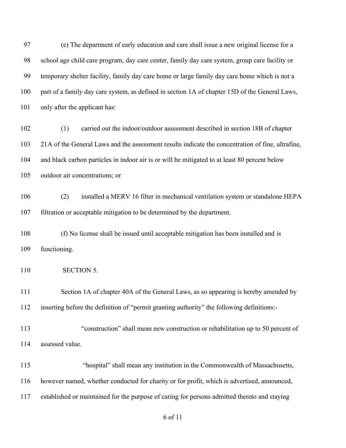(e) The department of early education and care shall issue a new original license for a school age child care program, day care center, family day care system, group care facility or temporary shelter facility, family day care home or large family day care home which is not a part of a family day care system, as defined in section 1A of chapter 15D of the General Laws, only after the applicant has:

 (1) carried out the indoor/outdoor assessment described in section 18B of chapter 21A of the General Laws and the assessment results indicate the concentration of fine, ultrafine, and black carbon particles in indoor air is or will be mitigated to at least 80 percent below outdoor air concentrations; or

 (2) installed a MERV 16 filter in mechanical ventilation system or standalone HEPA filtration or acceptable mitigation to be determined by the department.

 (f) No license shall be issued until acceptable mitigation has been installed and is functioning.

110 SECTION 5.

111 Section 1A of chapter 40A of the General Laws, as so appearing is hereby amended by inserting before the definition of "permit granting authority" the following definitions:-

- 113 "construction" shall mean new construction or rehabilitation up to 50 percent of assessed value.
- 115 "hospital" shall mean any institution in the Commonwealth of Massachusetts, however named, whether conducted for charity or for profit, which is advertised, announced, established or maintained for the purpose of caring for persons admitted thereto and staying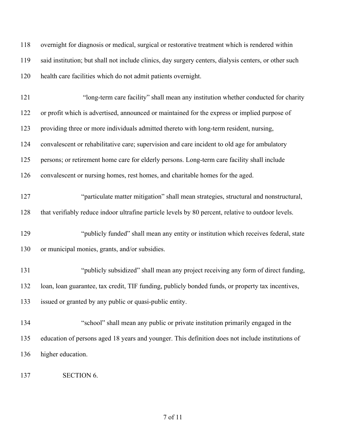| 118 | overnight for diagnosis or medical, surgical or restorative treatment which is rendered within        |
|-----|-------------------------------------------------------------------------------------------------------|
| 119 | said institution; but shall not include clinics, day surgery centers, dialysis centers, or other such |
| 120 | health care facilities which do not admit patients overnight.                                         |
| 121 | "long-term care facility" shall mean any institution whether conducted for charity                    |
| 122 | or profit which is advertised, announced or maintained for the express or implied purpose of          |
| 123 | providing three or more individuals admitted thereto with long-term resident, nursing,                |
| 124 | convalescent or rehabilitative care; supervision and care incident to old age for ambulatory          |
| 125 | persons; or retirement home care for elderly persons. Long-term care facility shall include           |
| 126 | convalescent or nursing homes, rest homes, and charitable homes for the aged.                         |
| 127 | "particulate matter mitigation" shall mean strategies, structural and nonstructural,                  |
| 128 | that verifiably reduce indoor ultrafine particle levels by 80 percent, relative to outdoor levels.    |
| 129 | "publicly funded" shall mean any entity or institution which receives federal, state                  |
| 130 | or municipal monies, grants, and/or subsidies.                                                        |
| 131 | "publicly subsidized" shall mean any project receiving any form of direct funding,                    |
| 132 | loan, loan guarantee, tax credit, TIF funding, publicly bonded funds, or property tax incentives,     |
| 133 | issued or granted by any public or quasi-public entity.                                               |
| 134 | "school" shall mean any public or private institution primarily engaged in the                        |
| 135 | education of persons aged 18 years and younger. This definition does not include institutions of      |
| 136 | higher education.                                                                                     |
| 137 | <b>SECTION 6.</b>                                                                                     |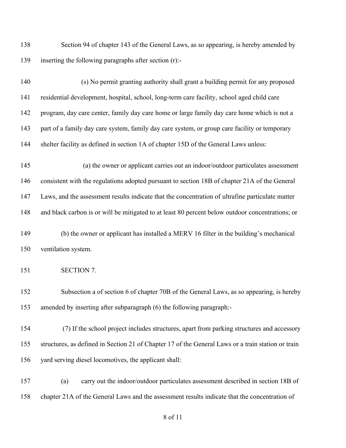Section 94 of chapter 143 of the General Laws, as so appearing, is hereby amended by inserting the following paragraphs after section (r):-

140 (s) No permit granting authority shall grant a building permit for any proposed residential development, hospital, school, long-term care facility, school aged child care program, day care center, family day care home or large family day care home which is not a part of a family day care system, family day care system, or group care facility or temporary shelter facility as defined in section 1A of chapter 15D of the General Laws unless:

145 (a) the owner or applicant carries out an indoor/outdoor particulates assessment consistent with the regulations adopted pursuant to section 18B of chapter 21A of the General Laws, and the assessment results indicate that the concentration of ultrafine particulate matter and black carbon is or will be mitigated to at least 80 percent below outdoor concentrations; or

 (b) the owner or applicant has installed a MERV 16 filter in the building's mechanical ventilation system.

SECTION 7.

 Subsection a of section 6 of chapter 70B of the General Laws, as so appearing, is hereby amended by inserting after subparagraph (6) the following paragraph:-

 (7) If the school project includes structures, apart from parking structures and accessory structures, as defined in Section 21 of Chapter 17 of the General Laws or a train station or train yard serving diesel locomotives, the applicant shall:

 (a) carry out the indoor/outdoor particulates assessment described in section 18B of chapter 21A of the General Laws and the assessment results indicate that the concentration of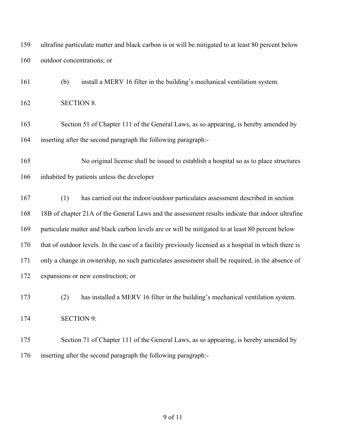ultrafine particulate matter and black carbon is or will be mitigated to at least 80 percent below outdoor concentrations; or

(b) install a MERV 16 filter in the building's mechanical ventilation system.

SECTION 8.

 Section 51 of Chapter 111 of the General Laws, as so appearing, is hereby amended by inserting after the second paragraph the following paragraph:-

165 No original license shall be issued to establish a hospital so as to place structures inhabited by patients unless the developer

 (1) has carried out the indoor/outdoor particulates assessment described in section 18B of chapter 21A of the General Laws and the assessment results indicate that indoor ultrafine particulate matter and black carbon levels are or will be mitigated to at least 80 percent below that of outdoor levels. In the case of a facility previously licensed as a hospital in which there is only a change in ownership, no such particulates assessment shall be required, in the absence of expansions or new construction; or

(2) has installed a MERV 16 filter in the building's mechanical ventilation system.

SECTION 9:

 Section 71 of Chapter 111 of the General Laws, as so appearing, is hereby amended by inserting after the second paragraph the following paragraph:-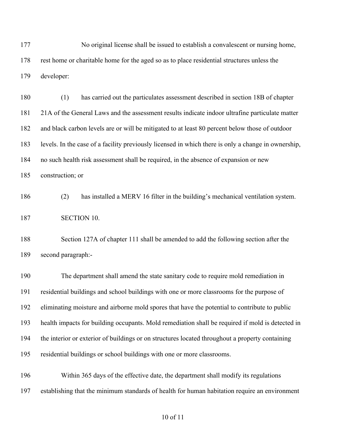177 No original license shall be issued to establish a convalescent or nursing home, rest home or charitable home for the aged so as to place residential structures unless the developer:

 (1) has carried out the particulates assessment described in section 18B of chapter 21A of the General Laws and the assessment results indicate indoor ultrafine particulate matter and black carbon levels are or will be mitigated to at least 80 percent below those of outdoor levels. In the case of a facility previously licensed in which there is only a change in ownership, no such health risk assessment shall be required, in the absence of expansion or new

construction; or

second paragraph:-

 (2) has installed a MERV 16 filter in the building's mechanical ventilation system. SECTION 10.

Section 127A of chapter 111 shall be amended to add the following section after the

 The department shall amend the state sanitary code to require mold remediation in residential buildings and school buildings with one or more classrooms for the purpose of eliminating moisture and airborne mold spores that have the potential to contribute to public health impacts for building occupants. Mold remediation shall be required if mold is detected in the interior or exterior of buildings or on structures located throughout a property containing residential buildings or school buildings with one or more classrooms.

 Within 365 days of the effective date, the department shall modify its regulations establishing that the minimum standards of health for human habitation require an environment